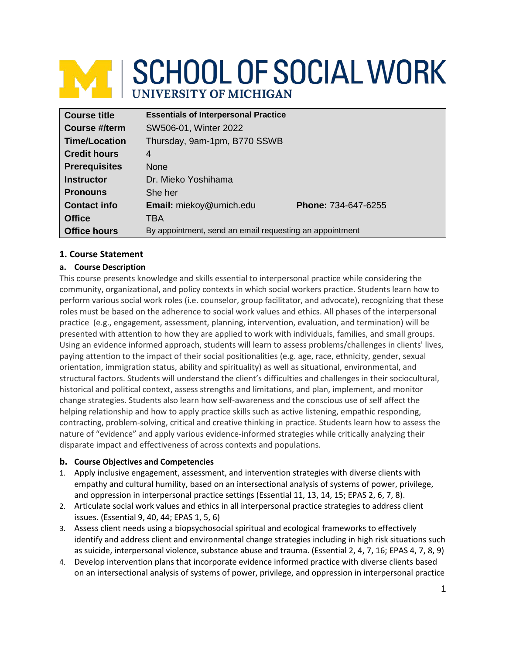# **M SCHOOL OF SOCIAL WORK**

| <b>Course title</b>  | <b>Essentials of Interpersonal Practice</b>             |                            |
|----------------------|---------------------------------------------------------|----------------------------|
| Course #/term        | SW506-01, Winter 2022                                   |                            |
| <b>Time/Location</b> | Thursday, 9am-1pm, B770 SSWB                            |                            |
| <b>Credit hours</b>  | 4                                                       |                            |
| <b>Prerequisites</b> | <b>None</b>                                             |                            |
| <b>Instructor</b>    | Dr. Mieko Yoshihama                                     |                            |
| <b>Pronouns</b>      | She her                                                 |                            |
| <b>Contact info</b>  | <b>Email:</b> miekoy@umich.edu                          | <b>Phone: 734-647-6255</b> |
| <b>Office</b>        | TBA                                                     |                            |
| <b>Office hours</b>  | By appointment, send an email requesting an appointment |                            |

# **1. Course Statement**

# **a. Course Description**

This course presents knowledge and skills essential to interpersonal practice while considering the community, organizational, and policy contexts in which social workers practice. Students learn how to perform various social work roles (i.e. counselor, group facilitator, and advocate), recognizing that these roles must be based on the adherence to social work values and ethics. All phases of the interpersonal practice (e.g., engagement, assessment, planning, intervention, evaluation, and termination) will be presented with attention to how they are applied to work with individuals, families, and small groups. Using an evidence informed approach, students will learn to assess problems/challenges in clients' lives, paying attention to the impact of their social positionalities (e.g. age, race, ethnicity, gender, sexual orientation, immigration status, ability and spirituality) as well as situational, environmental, and structural factors. Students will understand the client's difficulties and challenges in their sociocultural, historical and political context, assess strengths and limitations, and plan, implement, and monitor change strategies. Students also learn how self-awareness and the conscious use of self affect the helping relationship and how to apply practice skills such as active listening, empathic responding, contracting, problem-solving, critical and creative thinking in practice. Students learn how to assess the nature of "evidence" and apply various evidence-informed strategies while critically analyzing their disparate impact and effectiveness of across contexts and populations.

# **b. Course Objectives and Competencies**

- 1. Apply inclusive engagement, assessment, and intervention strategies with diverse clients with empathy and cultural humility, based on an intersectional analysis of systems of power, privilege, and oppression in interpersonal practice settings (Essential 11, 13, 14, 15; EPAS 2, 6, 7, 8).
- 2. Articulate social work values and ethics in all interpersonal practice strategies to address client issues. (Essential 9, 40, 44; EPAS 1, 5, 6)
- 3. Assess client needs using a biopsychosocial spiritual and ecological frameworks to effectively identify and address client and environmental change strategies including in high risk situations such as suicide, interpersonal violence, substance abuse and trauma. (Essential 2, 4, 7, 16; EPAS 4, 7, 8, 9)
- 4. Develop intervention plans that incorporate evidence informed practice with diverse clients based on an intersectional analysis of systems of power, privilege, and oppression in interpersonal practice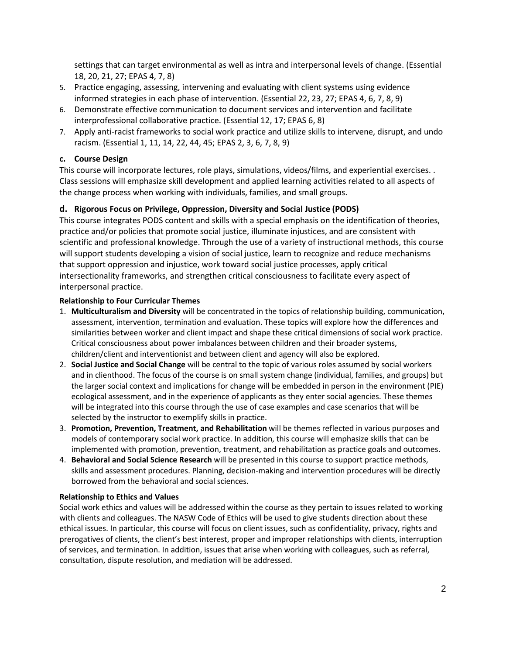settings that can target environmental as well as intra and interpersonal levels of change. (Essential 18, 20, 21, 27; EPAS 4, 7, 8)

- 5. Practice engaging, assessing, intervening and evaluating with client systems using evidence informed strategies in each phase of intervention. (Essential 22, 23, 27; EPAS 4, 6, 7, 8, 9)
- 6. Demonstrate effective communication to document services and intervention and facilitate interprofessional collaborative practice. (Essential 12, 17; EPAS 6, 8)
- 7. Apply anti-racist frameworks to social work practice and utilize skills to intervene, disrupt, and undo racism. (Essential 1, 11, 14, 22, 44, 45; EPAS 2, 3, 6, 7, 8, 9)

## **c. Course Design**

This course will incorporate lectures, role plays, simulations, videos/films, and experiential exercises. . Class sessions will emphasize skill development and applied learning activities related to all aspects of the change process when working with individuals, families, and small groups.

# **d. Rigorous Focus on Privilege, Oppression, Diversity and Social Justice (PODS)**

This course integrates PODS content and skills with a special emphasis on the identification of theories, practice and/or policies that promote social justice, illuminate injustices, and are consistent with scientific and professional knowledge. Through the use of a variety of instructional methods, this course will support students developing a vision of social justice, learn to recognize and reduce mechanisms that support oppression and injustice, work toward social justice processes, apply critical intersectionality frameworks, and strengthen critical consciousness to facilitate every aspect of interpersonal practice.

## **Relationship to Four Curricular Themes**

- 1. **Multiculturalism and Diversity** will be concentrated in the topics of relationship building, communication, assessment, intervention, termination and evaluation. These topics will explore how the differences and similarities between worker and client impact and shape these critical dimensions of social work practice. Critical consciousness about power imbalances between children and their broader systems, children/client and interventionist and between client and agency will also be explored.
- 2. **Social Justice and Social Change** will be central to the topic of various roles assumed by social workers and in clienthood. The focus of the course is on small system change (individual, families, and groups) but the larger social context and implications for change will be embedded in person in the environment (PIE) ecological assessment, and in the experience of applicants as they enter social agencies. These themes will be integrated into this course through the use of case examples and case scenarios that will be selected by the instructor to exemplify skills in practice.
- 3. **Promotion, Prevention, Treatment, and Rehabilitation** will be themes reflected in various purposes and models of contemporary social work practice. In addition, this course will emphasize skills that can be implemented with promotion, prevention, treatment, and rehabilitation as practice goals and outcomes.
- 4. **Behavioral and Social Science Research** will be presented in this course to support practice methods, skills and assessment procedures. Planning, decision-making and intervention procedures will be directly borrowed from the behavioral and social sciences.

## **Relationship to Ethics and Values**

Social work ethics and values will be addressed within the course as they pertain to issues related to working with clients and colleagues. The NASW Code of Ethics will be used to give students direction about these ethical issues. In particular, this course will focus on client issues, such as confidentiality, privacy, rights and prerogatives of clients, the client's best interest, proper and improper relationships with clients, interruption of services, and termination. In addition, issues that arise when working with colleagues, such as referral, consultation, dispute resolution, and mediation will be addressed.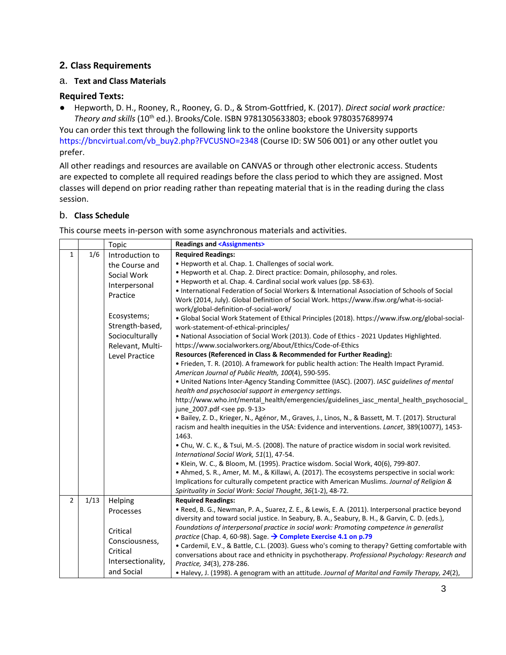# **2. Class Requirements**

## a. **Text and Class Materials**

## **Required Texts:**

● Hepworth, D. H., Rooney, R., Rooney, G. D., & Strom-Gottfried, K. (2017). *Direct social work practice: Theory and skills* (10th ed.). Brooks/Cole. ISBN 9781305633803; ebook 9780357689974

You can order this text through the following link to the online bookstore the University supports [https://bncvirtual.com/vb\\_buy2.php?FVCUSNO=2348](https://bncvirtual.com/vb_buy2.php?FVCUSNO=2348) (Course ID: SW 506 001) or any other outlet you prefer.

All other readings and resources are available on CANVAS or through other electronic access. Students are expected to complete all required readings before the class period to which they are assigned. Most classes will depend on prior reading rather than repeating material that is in the reading during the class session.

# b. **Class Schedule**

This course meets in-person with some asynchronous materials and activities.

|                |      | Topic                                                                                                                                                                    |                                                                                                                                                                                                                                                                                                                                                                                                                                                                                                                                                                                                                                                                                                                                                                                                                                                                                                                                                                                                                                                                                                                                                                                                                                                                                                                                                                                                                                                                                                                                                                                                                                                                                                                                                                                                                                                                                                                                                                                                                                                                                                                                                     |  |  |  |
|----------------|------|--------------------------------------------------------------------------------------------------------------------------------------------------------------------------|-----------------------------------------------------------------------------------------------------------------------------------------------------------------------------------------------------------------------------------------------------------------------------------------------------------------------------------------------------------------------------------------------------------------------------------------------------------------------------------------------------------------------------------------------------------------------------------------------------------------------------------------------------------------------------------------------------------------------------------------------------------------------------------------------------------------------------------------------------------------------------------------------------------------------------------------------------------------------------------------------------------------------------------------------------------------------------------------------------------------------------------------------------------------------------------------------------------------------------------------------------------------------------------------------------------------------------------------------------------------------------------------------------------------------------------------------------------------------------------------------------------------------------------------------------------------------------------------------------------------------------------------------------------------------------------------------------------------------------------------------------------------------------------------------------------------------------------------------------------------------------------------------------------------------------------------------------------------------------------------------------------------------------------------------------------------------------------------------------------------------------------------------------|--|--|--|
| $\mathbf{1}$   | 1/6  | Introduction to<br>the Course and<br>Social Work<br>Interpersonal<br>Practice<br>Ecosystems;<br>Strength-based,<br>Socioculturally<br>Relevant, Multi-<br>Level Practice | <b>Readings and <assignments></assignments></b><br><b>Required Readings:</b><br>. Hepworth et al. Chap. 1. Challenges of social work.<br>. Hepworth et al. Chap. 2. Direct practice: Domain, philosophy, and roles.<br>• Hepworth et al. Chap. 4. Cardinal social work values (pp. 58-63).<br>• International Federation of Social Workers & International Association of Schools of Social<br>Work (2014, July). Global Definition of Social Work. https://www.ifsw.org/what-is-social-<br>work/global-definition-of-social-work/<br>• Global Social Work Statement of Ethical Principles (2018). https://www.ifsw.org/global-social-<br>work-statement-of-ethical-principles/<br>. National Association of Social Work (2013). Code of Ethics - 2021 Updates Highlighted.<br>https://www.socialworkers.org/About/Ethics/Code-of-Ethics<br>Resources (Referenced in Class & Recommended for Further Reading):<br>• Frieden, T. R. (2010). A framework for public health action: The Health Impact Pyramid.<br>American Journal of Public Health, 100(4), 590-595.<br>. United Nations Inter-Agency Standing Committee (IASC). (2007). IASC guidelines of mental<br>health and psychosocial support in emergency settings.<br>http://www.who.int/mental_health/emergencies/guidelines_iasc_mental_health_psychosocial_<br>june 2007.pdf <see 9-13="" pp.=""><br/>· Bailey, Z. D., Krieger, N., Agénor, M., Graves, J., Linos, N., &amp; Bassett, M. T. (2017). Structural<br/>racism and health inequities in the USA: Evidence and interventions. Lancet, 389(10077), 1453-<br/>1463.<br/>• Chu, W. C. K., &amp; Tsui, M.-S. (2008). The nature of practice wisdom in social work revisited.<br/>International Social Work, 51(1), 47-54.<br/>• Klein, W. C., &amp; Bloom, M. (1995). Practice wisdom. Social Work, 40(6), 799-807.<br/>• Ahmed, S. R., Amer, M. M., &amp; Killawi, A. (2017). The ecosystems perspective in social work:<br/>Implications for culturally competent practice with American Muslims. Journal of Religion &amp;<br/>Spirituality in Social Work: Social Thought, 36(1-2), 48-72.<br/><b>Required Readings:</b></see> |  |  |  |
| $\overline{2}$ | 1/13 | Helping<br>Processes<br>Critical<br>Consciousness,<br>Critical<br>Intersectionality,<br>and Social                                                                       | · Reed, B. G., Newman, P. A., Suarez, Z. E., & Lewis, E. A. (2011). Interpersonal practice beyond<br>diversity and toward social justice. In Seabury, B. A., Seabury, B. H., & Garvin, C. D. (eds.),<br>Foundations of interpersonal practice in social work: Promoting competence in generalist<br>practice (Chap. 4, 60-98). Sage. $\rightarrow$ Complete Exercise 4.1 on p.79<br>• Cardemil, E.V., & Battle, C.L. (2003). Guess who's coming to therapy? Getting comfortable with<br>conversations about race and ethnicity in psychotherapy. Professional Psychology: Research and<br>Practice, 34(3), 278-286.<br>• Halevy, J. (1998). A genogram with an attitude. Journal of Marital and Family Therapy, 24(2),                                                                                                                                                                                                                                                                                                                                                                                                                                                                                                                                                                                                                                                                                                                                                                                                                                                                                                                                                                                                                                                                                                                                                                                                                                                                                                                                                                                                                              |  |  |  |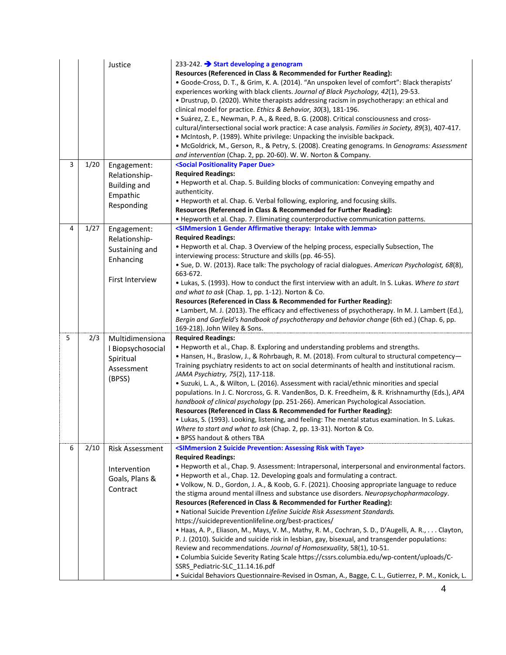|   |      | Justice                                                                               | 233-242. Start developing a genogram<br>Resources (Referenced in Class & Recommended for Further Reading):<br>· Goode-Cross, D. T., & Grim, K. A. (2014). "An unspoken level of comfort": Black therapists'<br>experiences working with black clients. Journal of Black Psychology, 42(1), 29-53.<br>• Drustrup, D. (2020). White therapists addressing racism in psychotherapy: an ethical and<br>clinical model for practice. Ethics & Behavior, 30(3), 181-196.<br>· Suárez, Z. E., Newman, P. A., & Reed, B. G. (2008). Critical consciousness and cross-<br>cultural/intersectional social work practice: A case analysis. Families in Society, 89(3), 407-417.<br>• McIntosh, P. (1989). White privilege: Unpacking the invisible backpack.<br>· McGoldrick, M., Gerson, R., & Petry, S. (2008). Creating genograms. In Genograms: Assessment<br>and intervention (Chap. 2, pp. 20-60). W. W. Norton & Company.                                                                                                                                                                                                                                                                                                                                        |
|---|------|---------------------------------------------------------------------------------------|--------------------------------------------------------------------------------------------------------------------------------------------------------------------------------------------------------------------------------------------------------------------------------------------------------------------------------------------------------------------------------------------------------------------------------------------------------------------------------------------------------------------------------------------------------------------------------------------------------------------------------------------------------------------------------------------------------------------------------------------------------------------------------------------------------------------------------------------------------------------------------------------------------------------------------------------------------------------------------------------------------------------------------------------------------------------------------------------------------------------------------------------------------------------------------------------------------------------------------------------------------------|
| 3 | 1/20 | Engagement:<br>Relationship-<br><b>Building and</b><br>Empathic<br>Responding         | <social due="" paper="" positionality=""><br/><b>Required Readings:</b><br/>• Hepworth et al. Chap. 5. Building blocks of communication: Conveying empathy and<br/>authenticity.<br/>• Hepworth et al. Chap. 6. Verbal following, exploring, and focusing skills.<br/>Resources (Referenced in Class &amp; Recommended for Further Reading):<br/>. Hepworth et al. Chap. 7. Eliminating counterproductive communication patterns.</social>                                                                                                                                                                                                                                                                                                                                                                                                                                                                                                                                                                                                                                                                                                                                                                                                                   |
| 4 | 1/27 | Engagement:<br>Relationship-<br>Sustaining and<br>Enhancing<br><b>First Interview</b> | <simmersion 1="" affirmative="" gender="" intake="" jemma="" therapy:="" with=""><br/><b>Required Readings:</b><br/>• Hepworth et al. Chap. 3 Overview of the helping process, especially Subsection, The<br/>interviewing process: Structure and skills (pp. 46-55).<br/>· Sue, D. W. (2013). Race talk: The psychology of racial dialogues. American Psychologist, 68(8),<br/>663-672.<br/>. Lukas, S. (1993). How to conduct the first interview with an adult. In S. Lukas. Where to start<br/>and what to ask (Chap. 1, pp. 1-12). Norton &amp; Co.<br/>Resources (Referenced in Class &amp; Recommended for Further Reading):<br/>• Lambert, M. J. (2013). The efficacy and effectiveness of psychotherapy. In M. J. Lambert (Ed.),<br/>Bergin and Garfield's handbook of psychotherapy and behavior change (6th ed.) (Chap. 6, pp.<br/>169-218). John Wiley &amp; Sons.</simmersion>                                                                                                                                                                                                                                                                                                                                                                  |
| 5 | 2/3  | Multidimensiona<br>I Biopsychosocial<br>Spiritual<br>Assessment<br>(BPSS)             | <b>Required Readings:</b><br>• Hepworth et al., Chap. 8. Exploring and understanding problems and strengths.<br>• Hansen, H., Braslow, J., & Rohrbaugh, R. M. (2018). From cultural to structural competency-<br>Training psychiatry residents to act on social determinants of health and institutional racism.<br>JAMA Psychiatry, 75(2), 117-118.<br>• Suzuki, L. A., & Wilton, L. (2016). Assessment with racial/ethnic minorities and special<br>populations. In J. C. Norcross, G. R. VandenBos, D. K. Freedheim, & R. Krishnamurthy (Eds.), APA<br>handbook of clinical psychology (pp. 251-266). American Psychological Association.<br>Resources (Referenced in Class & Recommended for Further Reading):<br>• Lukas, S. (1993). Looking, listening, and feeling: The mental status examination. In S. Lukas.<br>Where to start and what to ask (Chap. 2, pp. 13-31). Norton & Co.<br>• BPSS handout & others TBA                                                                                                                                                                                                                                                                                                                                   |
| 6 | 2/10 | <b>Risk Assessment</b><br>Intervention<br>Goals, Plans &<br>Contract                  | <simmersion 2="" assessing="" prevention:="" risk="" suicide="" taye="" with=""><br/><b>Required Readings:</b><br/>. Hepworth et al., Chap. 9. Assessment: Intrapersonal, interpersonal and environmental factors.<br/>• Hepworth et al., Chap. 12. Developing goals and formulating a contract.<br/>· Volkow, N. D., Gordon, J. A., &amp; Koob, G. F. (2021). Choosing appropriate language to reduce<br/>the stigma around mental illness and substance use disorders. Neuropsychopharmacology.<br/>Resources (Referenced in Class &amp; Recommended for Further Reading):<br/>• National Suicide Prevention Lifeline Suicide Risk Assessment Standards.<br/>https://suicidepreventionlifeline.org/best-practices/<br/>• Haas, A. P., Eliason, M., Mays, V. M., Mathy, R. M., Cochran, S. D., D'Augelli, A. R., Clayton,<br/>P. J. (2010). Suicide and suicide risk in lesbian, gay, bisexual, and transgender populations:<br/>Review and recommendations. Journal of Homosexuality, 58(1), 10-51.<br/>. Columbia Suicide Severity Rating Scale https://cssrs.columbia.edu/wp-content/uploads/C-<br/>SSRS Pediatric-SLC 11.14.16.pdf<br/>· Suicidal Behaviors Questionnaire-Revised in Osman, A., Bagge, C. L., Gutierrez, P. M., Konick, L.</simmersion> |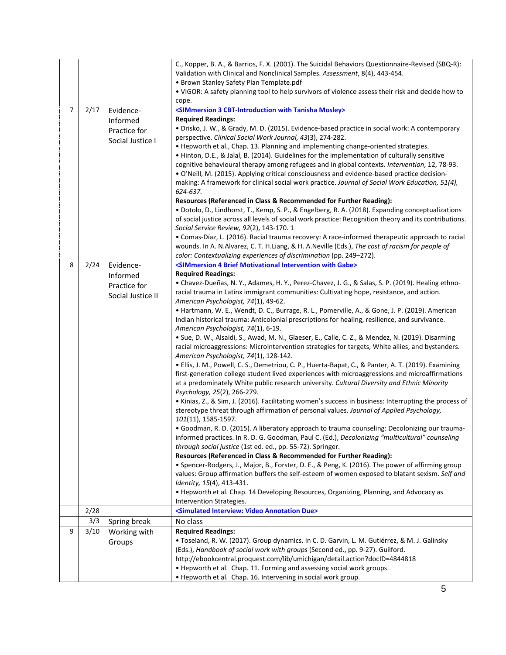|                |      |                                                           | C., Kopper, B. A., & Barrios, F. X. (2001). The Suicidal Behaviors Questionnaire-Revised (SBQ-R):<br>Validation with Clinical and Nonclinical Samples. Assessment, 8(4), 443-454.<br>• Brown Stanley Safety Plan Template.pdf<br>. VIGOR: A safety planning tool to help survivors of violence assess their risk and decide how to                                                                                                                                                                                                                                                 |  |  |
|----------------|------|-----------------------------------------------------------|------------------------------------------------------------------------------------------------------------------------------------------------------------------------------------------------------------------------------------------------------------------------------------------------------------------------------------------------------------------------------------------------------------------------------------------------------------------------------------------------------------------------------------------------------------------------------------|--|--|
|                |      |                                                           | cope.                                                                                                                                                                                                                                                                                                                                                                                                                                                                                                                                                                              |  |  |
| $\overline{7}$ | 2/17 | Evidence-<br>Informed<br>Practice for<br>Social Justice I | <simmersion 3="" cbt-introduction="" mosley="" tanisha="" with=""><br/><b>Required Readings:</b><br/>• Drisko, J. W., &amp; Grady, M. D. (2015). Evidence-based practice in social work: A contemporary<br/>perspective. Clinical Social Work Journal, 43(3), 274-282.<br/>• Hepworth et al., Chap. 13. Planning and implementing change-oriented strategies.<br/>• Hinton, D.E., &amp; Jalal, B. (2014). Guidelines for the implementation of culturally sensitive<br/>cognitive behavioural therapy among refugees and in global contexts. Intervention, 12, 78-93.</simmersion> |  |  |
|                |      |                                                           | · O'Neill, M. (2015). Applying critical consciousness and evidence-based practice decision-<br>making: A framework for clinical social work practice. Journal of Social Work Education, 51(4),<br>624-637.<br>Resources (Referenced in Class & Recommended for Further Reading):                                                                                                                                                                                                                                                                                                   |  |  |
|                |      |                                                           | · Dotolo, D., Lindhorst, T., Kemp, S. P., & Engelberg, R. A. (2018). Expanding conceptualizations                                                                                                                                                                                                                                                                                                                                                                                                                                                                                  |  |  |
|                |      |                                                           | of social justice across all levels of social work practice: Recognition theory and its contributions.<br>Social Service Review, 92(2), 143-170. 1                                                                                                                                                                                                                                                                                                                                                                                                                                 |  |  |
|                |      |                                                           | • Comas-Díaz, L. (2016). Racial trauma recovery: A race-informed therapeutic approach to racial<br>wounds. In A. N.Alvarez, C. T. H.Liang, & H. A.Neville (Eds.), The cost of racism for people of<br>color: Contextualizing experiences of discrimination (pp. 249-272).                                                                                                                                                                                                                                                                                                          |  |  |
| 8              | 2/24 | Evidence-                                                 | <simmersion 4="" brief="" gabe="" intervention="" motivational="" with=""></simmersion>                                                                                                                                                                                                                                                                                                                                                                                                                                                                                            |  |  |
|                |      | Informed                                                  | <b>Required Readings:</b>                                                                                                                                                                                                                                                                                                                                                                                                                                                                                                                                                          |  |  |
|                |      | Practice for                                              | • Chavez-Dueñas, N. Y., Adames, H. Y., Perez-Chavez, J. G., & Salas, S. P. (2019). Healing ethno-                                                                                                                                                                                                                                                                                                                                                                                                                                                                                  |  |  |
|                |      | Social Justice II                                         | racial trauma in Latinx immigrant communities: Cultivating hope, resistance, and action.                                                                                                                                                                                                                                                                                                                                                                                                                                                                                           |  |  |
|                |      |                                                           | American Psychologist, 74(1), 49-62.<br>• Hartmann, W. E., Wendt, D. C., Burrage, R. L., Pomerville, A., & Gone, J. P. (2019). American                                                                                                                                                                                                                                                                                                                                                                                                                                            |  |  |
|                |      |                                                           | Indian historical trauma: Anticolonial prescriptions for healing, resilience, and survivance.                                                                                                                                                                                                                                                                                                                                                                                                                                                                                      |  |  |
|                |      |                                                           | American Psychologist, 74(1), 6-19.<br>· Sue, D. W., Alsaidi, S., Awad, M. N., Glaeser, E., Calle, C. Z., & Mendez, N. (2019). Disarming                                                                                                                                                                                                                                                                                                                                                                                                                                           |  |  |
|                |      |                                                           | racial microaggressions: Microintervention strategies for targets, White allies, and bystanders.<br>American Psychologist, 74(1), 128-142.                                                                                                                                                                                                                                                                                                                                                                                                                                         |  |  |
|                |      |                                                           | • Ellis, J. M., Powell, C. S., Demetriou, C. P., Huerta-Bapat, C., & Panter, A. T. (2019). Examining                                                                                                                                                                                                                                                                                                                                                                                                                                                                               |  |  |
|                |      |                                                           | first-generation college student lived experiences with microaggressions and microaffirmations                                                                                                                                                                                                                                                                                                                                                                                                                                                                                     |  |  |
|                |      |                                                           | at a predominately White public research university. Cultural Diversity and Ethnic Minority<br>Psychology, 25(2), 266-279.                                                                                                                                                                                                                                                                                                                                                                                                                                                         |  |  |
|                |      |                                                           |                                                                                                                                                                                                                                                                                                                                                                                                                                                                                                                                                                                    |  |  |
|                |      |                                                           | • Kinias, Z., & Sim, J. (2016). Facilitating women's success in business: Interrupting the process of<br>stereotype threat through affirmation of personal values. Journal of Applied Psychology,<br>101(11), 1585-1597.                                                                                                                                                                                                                                                                                                                                                           |  |  |
|                |      |                                                           | • Goodman, R. D. (2015). A liberatory approach to trauma counseling: Decolonizing our trauma-                                                                                                                                                                                                                                                                                                                                                                                                                                                                                      |  |  |
|                |      |                                                           | informed practices. In R. D. G. Goodman, Paul C. (Ed.), Decolonizing "multicultural" counseling                                                                                                                                                                                                                                                                                                                                                                                                                                                                                    |  |  |
|                |      |                                                           | through social justice (1st ed. ed., pp. 55-72). Springer.                                                                                                                                                                                                                                                                                                                                                                                                                                                                                                                         |  |  |
|                |      |                                                           | Resources (Referenced in Class & Recommended for Further Reading):<br>• Spencer-Rodgers, J., Major, B., Forster, D. E., & Peng, K. (2016). The power of affirming group                                                                                                                                                                                                                                                                                                                                                                                                            |  |  |
|                |      |                                                           | values: Group affirmation buffers the self-esteem of women exposed to blatant sexism. Self and<br>Identity, 15(4), 413-431.                                                                                                                                                                                                                                                                                                                                                                                                                                                        |  |  |
|                |      |                                                           | • Hepworth et al. Chap. 14 Developing Resources, Organizing, Planning, and Advocacy as                                                                                                                                                                                                                                                                                                                                                                                                                                                                                             |  |  |
|                |      |                                                           | Intervention Strategies.                                                                                                                                                                                                                                                                                                                                                                                                                                                                                                                                                           |  |  |
|                | 2/28 |                                                           | <simulated annotation="" due="" interview:="" video=""></simulated>                                                                                                                                                                                                                                                                                                                                                                                                                                                                                                                |  |  |
|                | 3/3  | Spring break                                              | No class                                                                                                                                                                                                                                                                                                                                                                                                                                                                                                                                                                           |  |  |
| 9              | 3/10 | Working with                                              | <b>Required Readings:</b>                                                                                                                                                                                                                                                                                                                                                                                                                                                                                                                                                          |  |  |
|                |      | Groups                                                    | · Toseland, R. W. (2017). Group dynamics. In C. D. Garvin, L. M. Gutiérrez, & M. J. Galinsky                                                                                                                                                                                                                                                                                                                                                                                                                                                                                       |  |  |
|                |      |                                                           | (Eds.), Handbook of social work with groups (Second ed., pp. 9-27). Guilford.<br>http://ebookcentral.proquest.com/lib/umichigan/detail.action?docID=4844818                                                                                                                                                                                                                                                                                                                                                                                                                        |  |  |
|                |      |                                                           | • Hepworth et al. Chap. 11. Forming and assessing social work groups.                                                                                                                                                                                                                                                                                                                                                                                                                                                                                                              |  |  |
|                |      |                                                           | • Hepworth et al. Chap. 16. Intervening in social work group.                                                                                                                                                                                                                                                                                                                                                                                                                                                                                                                      |  |  |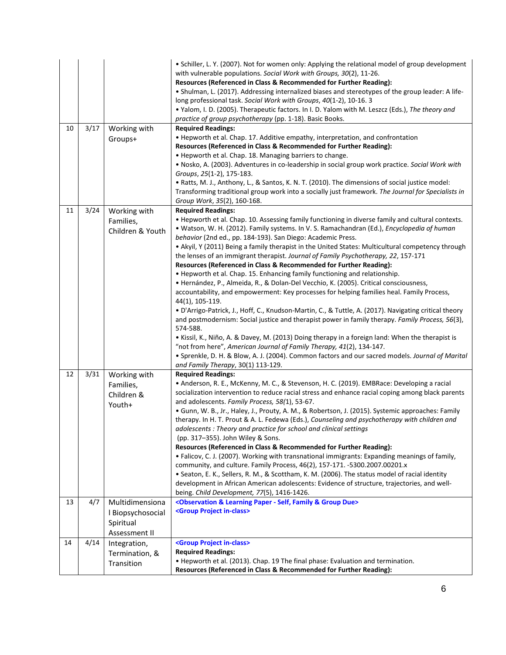|    |      |                   | • Schiller, L. Y. (2007). Not for women only: Applying the relational model of group development<br>with vulnerable populations. Social Work with Groups, 30(2), 11-26.<br>Resources (Referenced in Class & Recommended for Further Reading):<br>· Shulman, L. (2017). Addressing internalized biases and stereotypes of the group leader: A life-<br>long professional task. Social Work with Groups, 40(1-2), 10-16. 3<br>. Yalom, I. D. (2005). Therapeutic factors. In I. D. Yalom with M. Leszcz (Eds.), The theory and<br>practice of group psychotherapy (pp. 1-18). Basic Books. |  |  |
|----|------|-------------------|------------------------------------------------------------------------------------------------------------------------------------------------------------------------------------------------------------------------------------------------------------------------------------------------------------------------------------------------------------------------------------------------------------------------------------------------------------------------------------------------------------------------------------------------------------------------------------------|--|--|
| 10 | 3/17 | Working with      | <b>Required Readings:</b>                                                                                                                                                                                                                                                                                                                                                                                                                                                                                                                                                                |  |  |
|    |      | Groups+           | • Hepworth et al. Chap. 17. Additive empathy, interpretation, and confrontation                                                                                                                                                                                                                                                                                                                                                                                                                                                                                                          |  |  |
|    |      |                   | Resources (Referenced in Class & Recommended for Further Reading):                                                                                                                                                                                                                                                                                                                                                                                                                                                                                                                       |  |  |
|    |      |                   | • Hepworth et al. Chap. 18. Managing barriers to change.                                                                                                                                                                                                                                                                                                                                                                                                                                                                                                                                 |  |  |
|    |      |                   | . Nosko, A. (2003). Adventures in co-leadership in social group work practice. Social Work with                                                                                                                                                                                                                                                                                                                                                                                                                                                                                          |  |  |
|    |      |                   | Groups, 25(1-2), 175-183.                                                                                                                                                                                                                                                                                                                                                                                                                                                                                                                                                                |  |  |
|    |      |                   | • Ratts, M. J., Anthony, L., & Santos, K. N. T. (2010). The dimensions of social justice model:                                                                                                                                                                                                                                                                                                                                                                                                                                                                                          |  |  |
|    |      |                   | Transforming traditional group work into a socially just framework. The Journal for Specialists in                                                                                                                                                                                                                                                                                                                                                                                                                                                                                       |  |  |
|    |      |                   | Group Work, 35(2), 160-168.                                                                                                                                                                                                                                                                                                                                                                                                                                                                                                                                                              |  |  |
| 11 | 3/24 | Working with      | <b>Required Readings:</b>                                                                                                                                                                                                                                                                                                                                                                                                                                                                                                                                                                |  |  |
|    |      | Families,         | . Hepworth et al. Chap. 10. Assessing family functioning in diverse family and cultural contexts.                                                                                                                                                                                                                                                                                                                                                                                                                                                                                        |  |  |
|    |      | Children & Youth  | · Watson, W. H. (2012). Family systems. In V. S. Ramachandran (Ed.), Encyclopedia of human                                                                                                                                                                                                                                                                                                                                                                                                                                                                                               |  |  |
|    |      |                   | behavior (2nd ed., pp. 184-193). San Diego: Academic Press.<br>• Akyil, Y (2011) Being a family therapist in the United States: Multicultural competency through                                                                                                                                                                                                                                                                                                                                                                                                                         |  |  |
|    |      |                   | the lenses of an immigrant therapist. Journal of Family Psychotherapy, 22, 157-171                                                                                                                                                                                                                                                                                                                                                                                                                                                                                                       |  |  |
|    |      |                   | Resources (Referenced in Class & Recommended for Further Reading):                                                                                                                                                                                                                                                                                                                                                                                                                                                                                                                       |  |  |
|    |      |                   | • Hepworth et al. Chap. 15. Enhancing family functioning and relationship.                                                                                                                                                                                                                                                                                                                                                                                                                                                                                                               |  |  |
|    |      |                   | • Hernández, P., Almeida, R., & Dolan-Del Vecchio, K. (2005). Critical consciousness,                                                                                                                                                                                                                                                                                                                                                                                                                                                                                                    |  |  |
|    |      |                   | accountability, and empowerment: Key processes for helping families heal. Family Process,                                                                                                                                                                                                                                                                                                                                                                                                                                                                                                |  |  |
|    |      |                   | 44(1), 105-119.                                                                                                                                                                                                                                                                                                                                                                                                                                                                                                                                                                          |  |  |
|    |      |                   | • D'Arrigo-Patrick, J., Hoff, C., Knudson-Martin, C., & Tuttle, A. (2017). Navigating critical theory                                                                                                                                                                                                                                                                                                                                                                                                                                                                                    |  |  |
|    |      |                   | and postmodernism: Social justice and therapist power in family therapy. Family Process, 56(3),                                                                                                                                                                                                                                                                                                                                                                                                                                                                                          |  |  |
|    |      |                   | 574-588.                                                                                                                                                                                                                                                                                                                                                                                                                                                                                                                                                                                 |  |  |
|    |      |                   | • Kissil, K., Niño, A. & Davey, M. (2013) Doing therapy in a foreign land: When the therapist is                                                                                                                                                                                                                                                                                                                                                                                                                                                                                         |  |  |
|    |      |                   | "not from here", American Journal of Family Therapy, 41(2), 134-147.                                                                                                                                                                                                                                                                                                                                                                                                                                                                                                                     |  |  |
|    |      |                   | • Sprenkle, D. H. & Blow, A. J. (2004). Common factors and our sacred models. Journal of Marital                                                                                                                                                                                                                                                                                                                                                                                                                                                                                         |  |  |
| 12 | 3/31 | Working with      | and Family Therapy, 30(1) 113-129.<br><b>Required Readings:</b>                                                                                                                                                                                                                                                                                                                                                                                                                                                                                                                          |  |  |
|    |      | Families,         | • Anderson, R. E., McKenny, M. C., & Stevenson, H. C. (2019). EMBRace: Developing a racial                                                                                                                                                                                                                                                                                                                                                                                                                                                                                               |  |  |
|    |      | Children &        | socialization intervention to reduce racial stress and enhance racial coping among black parents                                                                                                                                                                                                                                                                                                                                                                                                                                                                                         |  |  |
|    |      | Youth+            | and adolescents. Family Process, 58(1), 53-67.                                                                                                                                                                                                                                                                                                                                                                                                                                                                                                                                           |  |  |
|    |      |                   | · Gunn, W. B., Jr., Haley, J., Prouty, A. M., & Robertson, J. (2015). Systemic approaches: Family                                                                                                                                                                                                                                                                                                                                                                                                                                                                                        |  |  |
|    |      |                   | therapy. In H. T. Prout & A. L. Fedewa (Eds.), Counseling and psychotherapy with children and                                                                                                                                                                                                                                                                                                                                                                                                                                                                                            |  |  |
|    |      |                   | adolescents : Theory and practice for school and clinical settings                                                                                                                                                                                                                                                                                                                                                                                                                                                                                                                       |  |  |
|    |      |                   | (pp. 317-355). John Wiley & Sons.                                                                                                                                                                                                                                                                                                                                                                                                                                                                                                                                                        |  |  |
|    |      |                   | Resources (Referenced in Class & Recommended for Further Reading):                                                                                                                                                                                                                                                                                                                                                                                                                                                                                                                       |  |  |
|    |      |                   | · Falicov, C. J. (2007). Working with transnational immigrants: Expanding meanings of family,                                                                                                                                                                                                                                                                                                                                                                                                                                                                                            |  |  |
|    |      |                   | community, and culture. Family Process, 46(2), 157-171. -5300.2007.00201.x                                                                                                                                                                                                                                                                                                                                                                                                                                                                                                               |  |  |
|    |      |                   | · Seaton, E. K., Sellers, R. M., & Scottham, K. M. (2006). The status model of racial identity                                                                                                                                                                                                                                                                                                                                                                                                                                                                                           |  |  |
|    |      |                   | development in African American adolescents: Evidence of structure, trajectories, and well-                                                                                                                                                                                                                                                                                                                                                                                                                                                                                              |  |  |
| 13 | 4/7  | Multidimensiona   | being. Child Development, 77(5), 1416-1426.<br><observation &="" -="" due="" family="" group="" learning="" paper="" self,=""></observation>                                                                                                                                                                                                                                                                                                                                                                                                                                             |  |  |
|    |      | I Biopsychosocial | <group in-class="" project=""></group>                                                                                                                                                                                                                                                                                                                                                                                                                                                                                                                                                   |  |  |
|    |      |                   |                                                                                                                                                                                                                                                                                                                                                                                                                                                                                                                                                                                          |  |  |
|    |      | Spiritual         |                                                                                                                                                                                                                                                                                                                                                                                                                                                                                                                                                                                          |  |  |
|    |      | Assessment II     |                                                                                                                                                                                                                                                                                                                                                                                                                                                                                                                                                                                          |  |  |
| 14 | 4/14 | Integration,      | <group in-class="" project=""><br/><b>Required Readings:</b></group>                                                                                                                                                                                                                                                                                                                                                                                                                                                                                                                     |  |  |
|    |      | Termination, &    | • Hepworth et al. (2013). Chap. 19 The final phase: Evaluation and termination.                                                                                                                                                                                                                                                                                                                                                                                                                                                                                                          |  |  |
|    |      | Transition        | Resources (Referenced in Class & Recommended for Further Reading):                                                                                                                                                                                                                                                                                                                                                                                                                                                                                                                       |  |  |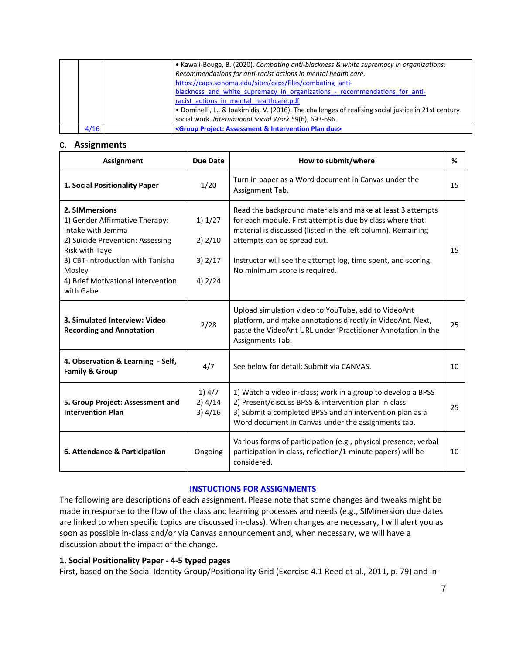|      | • Kawaii-Bouge, B. (2020). Combating anti-blackness & white supremacy in organizations:              |  |  |
|------|------------------------------------------------------------------------------------------------------|--|--|
|      | Recommendations for anti-racist actions in mental health care.                                       |  |  |
|      | https://caps.sonoma.edu/sites/caps/files/combating anti-                                             |  |  |
|      | blackness and white supremacy in organizations - recommendations for anti-                           |  |  |
|      | racist actions in mental healthcare.pdf                                                              |  |  |
|      | • Dominelli, L., & Ioakimidis, V. (2016). The challenges of realising social justice in 21st century |  |  |
|      | social work. International Social Work 59(6), 693-696.                                               |  |  |
| 4/16 | <group &="" assessment="" due="" intervention="" plan="" project:=""></group>                        |  |  |

### c. **Assignments**

| <b>Assignment</b>                                                                                                                                                                                                            | Due Date                                       | How to submit/where                                                                                                                                                                                                                                                                                                      | %  |
|------------------------------------------------------------------------------------------------------------------------------------------------------------------------------------------------------------------------------|------------------------------------------------|--------------------------------------------------------------------------------------------------------------------------------------------------------------------------------------------------------------------------------------------------------------------------------------------------------------------------|----|
| 1. Social Positionality Paper                                                                                                                                                                                                | 1/20                                           | Turn in paper as a Word document in Canvas under the<br>Assignment Tab.                                                                                                                                                                                                                                                  | 15 |
| 2. SIMmersions<br>1) Gender Affirmative Therapy:<br>Intake with Jemma<br>2) Suicide Prevention: Assessing<br>Risk with Taye<br>3) CBT-Introduction with Tanisha<br>Mosley<br>4) Brief Motivational Intervention<br>with Gabe | 1) 1/27<br>$2)$ 2/10<br>$3)$ 2/17<br>$4)$ 2/24 | Read the background materials and make at least 3 attempts<br>for each module. First attempt is due by class where that<br>material is discussed (listed in the left column). Remaining<br>attempts can be spread out.<br>Instructor will see the attempt log, time spent, and scoring.<br>No minimum score is required. | 15 |
| 3. Simulated Interview: Video<br><b>Recording and Annotation</b>                                                                                                                                                             | 2/28                                           | Upload simulation video to YouTube, add to VideoAnt<br>platform, and make annotations directly in VideoAnt. Next,<br>paste the VideoAnt URL under 'Practitioner Annotation in the<br>Assignments Tab.                                                                                                                    | 25 |
| 4. Observation & Learning - Self,<br><b>Family &amp; Group</b>                                                                                                                                                               | 4/7                                            | See below for detail; Submit via CANVAS.                                                                                                                                                                                                                                                                                 | 10 |
| 5. Group Project: Assessment and<br><b>Intervention Plan</b>                                                                                                                                                                 | 1)4/7<br>$2)$ 4/14<br>3)4/16                   | 1) Watch a video in-class; work in a group to develop a BPSS<br>2) Present/discuss BPSS & intervention plan in class<br>3) Submit a completed BPSS and an intervention plan as a<br>Word document in Canvas under the assignments tab.                                                                                   | 25 |
| 6. Attendance & Participation                                                                                                                                                                                                | Ongoing                                        | Various forms of participation (e.g., physical presence, verbal<br>participation in-class, reflection/1-minute papers) will be<br>considered.                                                                                                                                                                            | 10 |

#### **INSTUCTIONS FOR ASSIGNMENTS**

The following are descriptions of each assignment. Please note that some changes and tweaks might be made in response to the flow of the class and learning processes and needs (e.g., SIMmersion due dates are linked to when specific topics are discussed in-class). When changes are necessary, I will alert you as soon as possible in-class and/or via Canvas announcement and, when necessary, we will have a discussion about the impact of the change.

## **1. Social Positionality Paper - 4-5 typed pages**

First, based on the Social Identity Group/Positionality Grid (Exercise 4.1 Reed et al., 2011, p. 79) and in-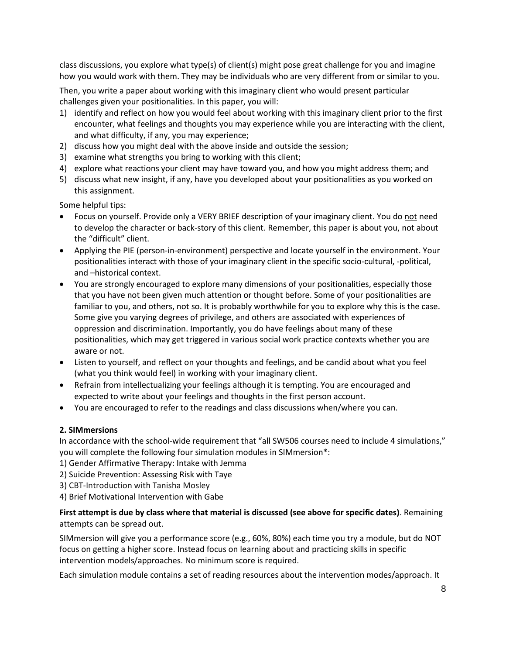class discussions, you explore what type(s) of client(s) might pose great challenge for you and imagine how you would work with them. They may be individuals who are very different from or similar to you.

Then, you write a paper about working with this imaginary client who would present particular challenges given your positionalities. In this paper, you will:

- 1) identify and reflect on how you would feel about working with this imaginary client prior to the first encounter, what feelings and thoughts you may experience while you are interacting with the client, and what difficulty, if any, you may experience;
- 2) discuss how you might deal with the above inside and outside the session;
- 3) examine what strengths you bring to working with this client;
- 4) explore what reactions your client may have toward you, and how you might address them; and
- 5) discuss what new insight, if any, have you developed about your positionalities as you worked on this assignment.

Some helpful tips:

- Focus on yourself. Provide only a VERY BRIEF description of your imaginary client. You do not need to develop the character or back-story of this client. Remember, this paper is about you, not about the "difficult" client.
- Applying the PIE (person-in-environment) perspective and locate yourself in the environment. Your positionalities interact with those of your imaginary client in the specific socio-cultural, -political, and –historical context.
- You are strongly encouraged to explore many dimensions of your positionalities, especially those that you have not been given much attention or thought before. Some of your positionalities are familiar to you, and others, not so. It is probably worthwhile for you to explore why this is the case. Some give you varying degrees of privilege, and others are associated with experiences of oppression and discrimination. Importantly, you do have feelings about many of these positionalities, which may get triggered in various social work practice contexts whether you are aware or not.
- Listen to yourself, and reflect on your thoughts and feelings, and be candid about what you feel (what you think would feel) in working with your imaginary client.
- Refrain from intellectualizing your feelings although it is tempting. You are encouraged and expected to write about your feelings and thoughts in the first person account.
- You are encouraged to refer to the readings and class discussions when/where you can.

## **2. SIMmersions**

In accordance with the school-wide requirement that "all SW506 courses need to include 4 simulations," you will complete the following four simulation modules in SIMmersion\*:

- 1) Gender Affirmative Therapy: Intake with Jemma
- 2) Suicide Prevention: Assessing Risk with Taye
- 3) CBT-Introduction with Tanisha Mosley
- 4) Brief Motivational Intervention with Gabe

# **First attempt is due by class where that material is discussed (see above for specific dates)**. Remaining attempts can be spread out.

SIMmersion will give you a performance score (e.g., 60%, 80%) each time you try a module, but do NOT focus on getting a higher score. Instead focus on learning about and practicing skills in specific intervention models/approaches. No minimum score is required.

Each simulation module contains a set of reading resources about the intervention modes/approach. It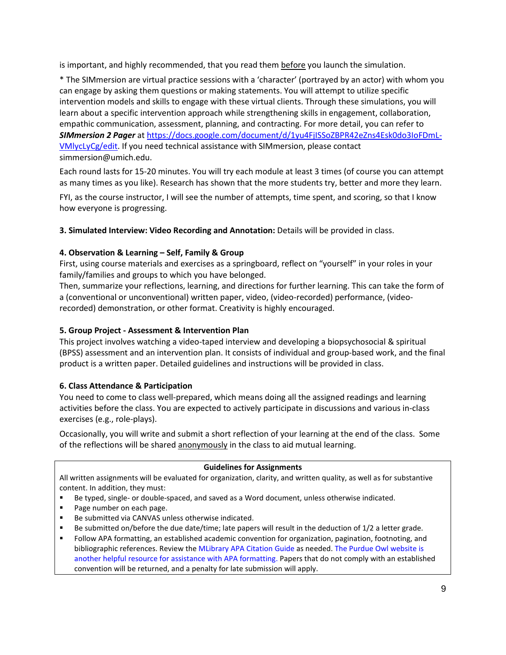is important, and highly recommended, that you read them before you launch the simulation.

\* The SIMmersion are virtual practice sessions with a 'character' (portrayed by an actor) with whom you can engage by asking them questions or making statements. You will attempt to utilize specific intervention models and skills to engage with these virtual clients. Through these simulations, you will learn about a specific intervention approach while strengthening skills in engagement, collaboration, empathic communication, assessment, planning, and contracting. For more detail, you can refer to *SIMmersion 2 Pager* at [https://docs.google.com/document/d/1yu4FjISSoZBPR42eZns4Esk0do3IoFDmL](https://docs.google.com/document/d/1yu4FjISSoZBPR42eZns4Esk0do3IoFDmL-VMlycLyCg/edit)-[VMlycLyCg/edit.](https://docs.google.com/document/d/1yu4FjISSoZBPR42eZns4Esk0do3IoFDmL-VMlycLyCg/edit) If you need technical assistance with SIMmersion, please contact [simmersion@umich.edu.](mailto:simmersion@umich.edu)

Each round lasts for 15-20 minutes. You will try each module at least 3 times (of course you can attempt as many times as you like). Research has shown that the more students try, better and more they learn.

FYI, as the course instructor, I will see the number of attempts, time spent, and scoring, so that I know how everyone is progressing.

**3. Simulated Interview: Video Recording and Annotation:** Details will be provided in class.

# **4. Observation & Learning – Self, Family & Group**

First, using course materials and exercises as a springboard, reflect on "yourself" in your roles in your family/families and groups to which you have belonged.

Then, summarize your reflections, learning, and directions for further learning. This can take the form of a (conventional or unconventional) written paper, video, (video-recorded) performance, (videorecorded) demonstration, or other format. Creativity is highly encouraged.

## **5. Group Project - Assessment & Intervention Plan**

This project involves watching a video-taped interview and developing a biopsychosocial & spiritual (BPSS) assessment and an intervention plan. It consists of individual and group-based work, and the final product is a written paper. Detailed guidelines and instructions will be provided in class.

# **6. Class Attendance & Participation**

You need to come to class well-prepared, which means doing all the assigned readings and learning activities before the class. You are expected to actively participate in discussions and various in-class exercises (e.g., role-plays).

Occasionally, you will write and submit a short reflection of your learning at the end of the class. Some of the reflections will be shared anonymously in the class to aid mutual learning.

## **Guidelines for Assignments**

All written assignments will be evaluated for organization, clarity, and written quality, as well as for substantive content. In addition, they must:

- Be typed, single- or double-spaced, and saved as a Word document, unless otherwise indicated.
- Page number on each page.
- Be submitted via CANVAS unless otherwise indicated.
- Be submitted on/before the due date/time; late papers will result in the deduction of 1/2 a letter grade.
- Follow APA formatting, an established academic convention for organization, pagination, footnoting, and bibliographic references. Review th[e MLibrary APA Citation Guide](http://guides.lib.umich.edu/c.php?g=282964&p=1885441) as needed. [The Purdue Owl website is](https://owl.english.purdue.edu/owl/section/2/10/)  [another helpful resource for assistance with APA formatting.](https://owl.english.purdue.edu/owl/section/2/10/) Papers that do not comply with an established convention will be returned, and a penalty for late submission will apply.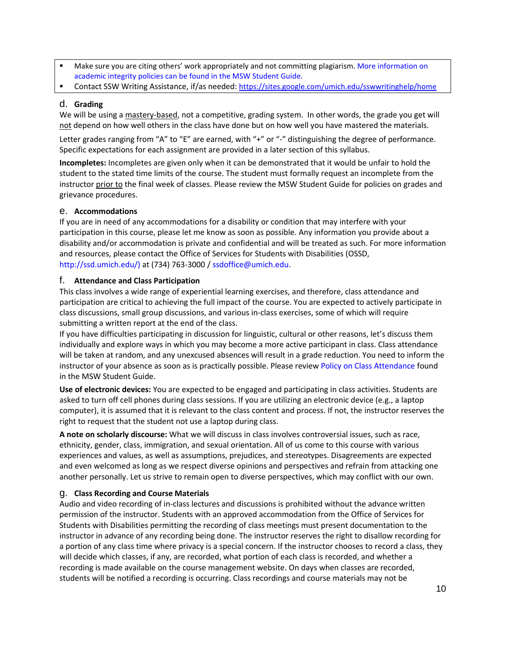- Make sure you are citing others' work appropriately and not committing plagiarism[. More information on](https://ssw.umich.edu/msw-student-guide/section/1.11.01/427/academic-misconduct)  [academic integrity policies can be found in the MSW Student Guide.](https://ssw.umich.edu/msw-student-guide/section/1.11.01/427/academic-misconduct)
- Contact SSW Writing Assistance, if/as needed:<https://sites.google.com/umich.edu/sswwritinghelp/home>

## d. **Grading**

We will be using a mastery-based, not a competitive, grading system. In other words, the grade you get will not depend on how well others in the class have done but on how well you have mastered the materials.

Letter grades ranging from "A" to "E" are earned, with "+" or "-" distinguishing the degree of performance. Specific expectations for each assignment are provided in a later section of this syllabus.

**Incompletes:** Incompletes are given only when it can be demonstrated that it would be unfair to hold the student to the stated time limits of the course. The student must formally request an incomplete from the instructor prior to the final week of classes. Please review the MSW Student Guide for policies on grades and grievance procedures.

## e. **Accommodations**

If you are in need of any accommodations for a disability or condition that may interfere with your participation in this course, please let me know as soon as possible. Any information you provide about a disability and/or accommodation is private and confidential and will be treated as such. For more information and resources, please contact the Office of Services for Students with Disabilities (OSSD, [http://ssd.umich.edu/\)](http://ssd.umich.edu/) at (734) 763-3000 / [ssdoffice@umich.edu.](mailto:ssdoffice@umich.edu)

#### f. **Attendance and Class Participation**

This class involves a wide range of experiential learning exercises, and therefore, class attendance and participation are critical to achieving the full impact of the course. You are expected to actively participate in class discussions, small group discussions, and various in-class exercises, some of which will require submitting a written report at the end of the class.

If you have difficulties participating in discussion for linguistic, cultural or other reasons, let's discuss them individually and explore ways in which you may become a more active participant in class. Class attendance will be taken at random, and any unexcused absences will result in a grade reduction. You need to inform the instructor of your absence as soon as is practically possible. Please revie[w Policy on Class Attendance](https://ssw.umich.edu/msw-student-guide/section/1.09.00/17/policy-on-class-attendance) found in the MSW Student Guide.

**Use of electronic devices:** You are expected to be engaged and participating in class activities. Students are asked to turn off cell phones during class sessions. If you are utilizing an electronic device (e.g., a laptop computer), it is assumed that it is relevant to the class content and process. If not, the instructor reserves the right to request that the student not use a laptop during class.

**A note on scholarly discourse:** What we will discuss in class involves controversial issues, such as race, ethnicity, gender, class, immigration, and sexual orientation. All of us come to this course with various experiences and values, as well as assumptions, prejudices, and stereotypes. Disagreements are expected and even welcomed as long as we respect diverse opinions and perspectives and refrain from attacking one another personally. Let us strive to remain open to diverse perspectives, which may conflict with our own.

## g. **Class Recording and Course Materials**

Audio and video recording of in-class lectures and discussions is prohibited without the advance written permission of the instructor. Students with an approved accommodation from the Office of Services for Students with Disabilities permitting the recording of class meetings must present documentation to the instructor in advance of any recording being done. The instructor reserves the right to disallow recording for a portion of any class time where privacy is a special concern. If the instructor chooses to record a class, they will decide which classes, if any, are recorded, what portion of each class is recorded, and whether a recording is made available on the course management website. On days when classes are recorded, students will be notified a recording is occurring. Class recordings and course materials may not be